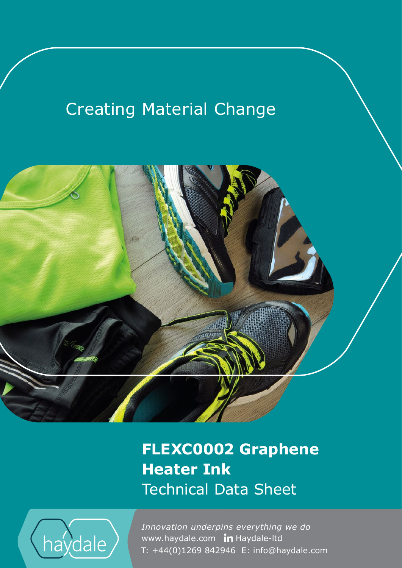# **Creating Material Change**



**FLEXC0002 Graphene Heater Ink** Technical Data Sheet



www.haydale.com In Haydale-Itd *Innovation underpins everything we do*  T: +44(0)1269 842946 E: info@haydale.com